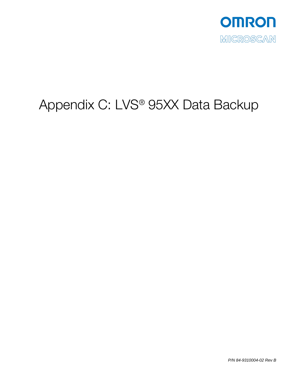

# Appendix C: LVS® 95XX Data Backup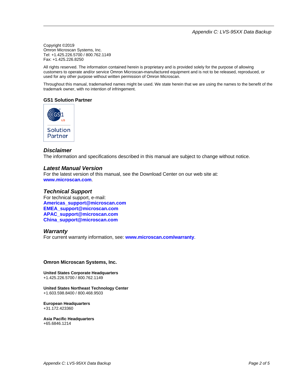Copyright ©2019 Omron Microscan Systems, Inc. Tel: +1.425.226.5700 / 800.762.1149 Fax: +1.425.226.8250

All rights reserved. The information contained herein is proprietary and is provided solely for the purpose of allowing customers to operate and/or service Omron Microscan-manufactured equipment and is not to be released, reproduced, or used for any other purpose without written permission of Omron Microscan.

Throughout this manual, trademarked names might be used. We state herein that we are using the names to the benefit of the trademark owner, with no intention of infringement.

## **GS1 Solution Partner**



## *Disclaimer*

The information and specifications described in this manual are subject to change without notice.

#### *Latest Manual Version*

For the latest version of this manual, see the Download Center on our web site at: **www.microscan.com**.

#### *Technical Support*

For technical support, e-mail: **Americas\_support@microscan.com EMEA\_support@microscan.com APAC\_support@microscan.com China\_support@microscan.com**

#### *Warranty*

For current warranty information, see: **www.microscan.com/warranty**.

#### **Omron Microscan Systems, Inc.**

**United States Corporate Headquarters**  +1.425.226.5700 / 800.762.1149

**United States Northeast Technology Center** +1.603.598.8400 / 800.468.9503

**European Headquarters**  +31.172.423360

**Asia Pacific Headquarters**  +65.6846.1214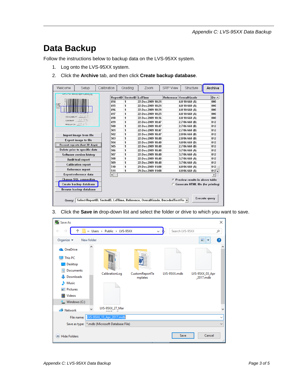# **Data Backup**

Follow the instructions below to backup data on the LVS-95XX system.

- 1. Log onto the LVS-95XX system.
- 2. Click the **Archive** tab, and then click **Create backup database**.

| Welcome        | Setup                         | Calibration |                        | Grading                          | Zoom              | <b>SRP View</b> | Structure                                  | Archive |
|----------------|-------------------------------|-------------|------------------------|----------------------------------|-------------------|-----------------|--------------------------------------------|---------|
|                | UPUTA MADIER UNAUE            |             |                        | <b>ReportID SectorID LcITime</b> |                   |                 | Reference OverallGrade                     | $De. -$ |
|                |                               |             | 494                    | 1                                | 22-Dec-2009 10:21 |                 | 4.0/10/660 (A)                             | 000     |
| O.M*<br>zone   |                               |             | 495                    | 1                                | 22-Dec-2009 10:21 |                 | 4.0/10/660 (A)                             | 000     |
| <b>EB-AST</b>  |                               |             | 496                    | 1                                | 22-Dec-2009 10:21 |                 | 4.0/10/660 (A)                             | 000     |
|                |                               |             | 497                    | 1                                | 22-Dec-2009 10:25 |                 | 4.0/10/660 (A)                             | 000     |
|                | $CCCOOHEER = 26.64$<br>80.3%  |             | 498                    | 1                                | 22-Dec-2009 10:36 |                 | 4.0/10/660 (A)                             | 000     |
| <b>COURANT</b> |                               |             | 499                    | 1                                | 22-Dec-2009 10:47 |                 | 2.7.06.660 (B)                             | 012     |
|                | MOLLEON XY 67                 |             | 500                    | 1                                | 22-Dec-2009 10:47 |                 | 2.7/06/660 (B)                             | 012     |
|                |                               |             | 501                    | 1                                | 22-Dec-2009 10:47 |                 | 2.7.06.660 (B)                             | 012     |
|                | Import image from file        |             | 502                    | 1                                | 22-Dec-2009 10:47 |                 | 2.8.06.660 (B)                             | 012     |
|                | <b>Export image to file</b>   |             | 503                    | 1                                | 22-Dec-2009 10:48 |                 | 2.8.06.660 (B)                             | 012     |
|                |                               |             | 504                    | 1                                | 22-Dec-2009 10:48 |                 | 1.0.06.660 (D)                             | 012     |
|                | Recent reports (last 30 days) |             | 505                    | 1                                | 22-Dec-2009 10:48 |                 | 2.7.06.660 (B)                             | 012     |
|                | Delete prior to specific date |             | 506                    | 1                                | 22-Dec-2009 10:48 |                 | 3.7 06 660 (A)                             | 012     |
|                | Software version history      |             | 507                    | 1                                | 22-Dec-2009 10:48 |                 | 3.7 06 660 (A)                             | 012     |
|                | <b>Audit trail report</b>     |             | 508                    | 1                                | 22-Dec-2009 10:48 |                 | 3.7.06.660 (A)                             | 012     |
|                | <b>Calibration report</b>     |             | 509                    | 1                                | 22-Dec-2009 10:48 |                 | 3.7.06.660 (A)                             | 012     |
|                |                               |             | 510                    | 1                                | 29-Dec-2009 11:08 |                 | 4.0.06.660 (A)                             | 012     |
|                | <b>Reference report</b>       |             | 511                    | 1                                | 29-Dec-2009 11:08 |                 | 4.0.06.660 (A)                             | $012 -$ |
|                | <b>Export reference data</b>  |             | $\left  \cdot \right $ |                                  |                   |                 |                                            | $\cdot$ |
|                | <b>Change SOL connection</b>  |             |                        |                                  |                   |                 | <b>6</b> Preview results in above table    |         |
|                | Create backup database        |             |                        |                                  |                   |                 | <b>C</b> Generate HTML file (for printing) |         |
|                | <b>Browse backup database</b> |             |                        |                                  |                   |                 |                                            |         |

| <b>M</b> Save As                                  |            |                                 |                           |                 | ×                            |
|---------------------------------------------------|------------|---------------------------------|---------------------------|-----------------|------------------------------|
| ÷                                                 |            | « Users > Public > LVS-95XX     |                           | Search LVS-95XX | مر                           |
| Organize $\blacktriangledown$                     | New folder |                                 |                           |                 | ❸<br>Ξ<br>▼                  |
| <b>ConeDrive</b><br>This PC<br>Desktop            |            |                                 |                           |                 | ́                            |
| Documents<br>兽<br>Downloads                       |            | CalibrationLog                  | CustomReportTe<br>mplates | LVS-95XX.mdb    | LVS-95XX_03_Apr<br>_2017.mdb |
| Music<br>$\blacksquare$ Pictures<br><b>Videos</b> |            |                                 |                           |                 |                              |
| <sup>::</sup> Windows (C:)                        |            |                                 |                           |                 |                              |
| Network                                           |            | LVS-95XX 27 Mar                 |                           |                 |                              |
| File name:                                        |            | LVS-95XX_15_Apr_2017.mdb        |                           |                 | $\checkmark$                 |
| Save as type:                                     |            | *.mdb (Microsoft Database File) |                           |                 | $\checkmark$                 |
| <b>Hide Folders</b>                               |            |                                 |                           | Save            | Cancel                       |

3. Click the **Save in** drop-down list and select the folder or drive to which you want to save.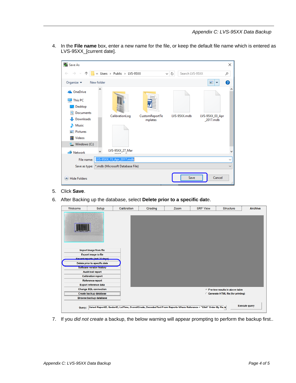4. In the **File name** box, enter a new name for the file, or keep the default file name which is entered as LVS-95XX\_[current date].

| <b>M</b> Save As                                                                                             |                                             |                                             | ×            |
|--------------------------------------------------------------------------------------------------------------|---------------------------------------------|---------------------------------------------|--------------|
| 个                                                                                                            | « Users > Public > LVS-95XX                 | Search LVS-95XX<br>Ō<br>$\checkmark$        | مر           |
| Organize $\blacktriangleright$                                                                               | New folder                                  | $\blacksquare$<br>▼                         | ◙            |
| <b>Component</b> OneDrive<br>This PC<br>Desktop                                                              | 脑                                           |                                             | Α            |
| 兽<br>Documents<br>Downloads<br>Music<br>n.<br><b>Pictures</b><br>Videos<br>Ħ<br><sup>12</sup> , Windows (C:) | CalibrationLog<br>CustomReportTe<br>mplates | LVS-95XX.mdb<br>LVS-95XX_03_Apr<br>2017.mdb |              |
| A<br>Network                                                                                                 | LVS-95XX 27 Mar                             |                                             |              |
| File name:                                                                                                   | LVS-95XX_15_Apr_2017.mdb                    |                                             | $\checkmark$ |
| Save as type:                                                                                                | *.mdb (Microsoft Database File)             |                                             | $\checkmark$ |
| <b>Hide Folders</b>                                                                                          |                                             | Save<br>Cancel                              |              |

- 5. Click **Save**.
- 6. After Backing up the database, select **Delete prior to a specific dat**e.

| Welcome | Setup                                | Calibration                                                                                                                 | Grading | Zoom | <b>SRP View</b> | <b>Structure</b>                               | <b>Archive</b>       |
|---------|--------------------------------------|-----------------------------------------------------------------------------------------------------------------------------|---------|------|-----------------|------------------------------------------------|----------------------|
|         |                                      |                                                                                                                             |         |      |                 |                                                |                      |
|         | Import image from file               |                                                                                                                             |         |      |                 |                                                |                      |
|         | <b>Export image to file</b>          |                                                                                                                             |         |      |                 |                                                |                      |
|         | <b>Decent reports (last 30 days)</b> |                                                                                                                             |         |      |                 |                                                |                      |
|         | Delete prior to specific date        |                                                                                                                             |         |      |                 |                                                |                      |
|         | <b>Software version history</b>      |                                                                                                                             |         |      |                 |                                                |                      |
|         | <b>Audit trail report</b>            |                                                                                                                             |         |      |                 |                                                |                      |
|         | <b>Calibration report</b>            |                                                                                                                             |         |      |                 |                                                |                      |
|         | Reference report                     |                                                                                                                             |         |      |                 |                                                |                      |
|         | Export reference data                |                                                                                                                             |         |      |                 |                                                |                      |
|         | <b>Change SQL connection</b>         |                                                                                                                             |         |      |                 | <b><i>C</i></b> Preview results in above table |                      |
|         | Create backup database               |                                                                                                                             |         |      |                 | <b>C</b> Generate HTML file (for printing)     |                      |
|         | Browse backup database               |                                                                                                                             |         |      |                 |                                                |                      |
|         |                                      | Query: Select ReportID, SectorID, LcITime, OverallGrade, Decoded Text From Reports Where Reference = "Elbit" Order By Re  v |         |      |                 |                                                | <b>Execute query</b> |

7. If you *did not create* a backup, the below warning will appear prompting to perform the backup first..